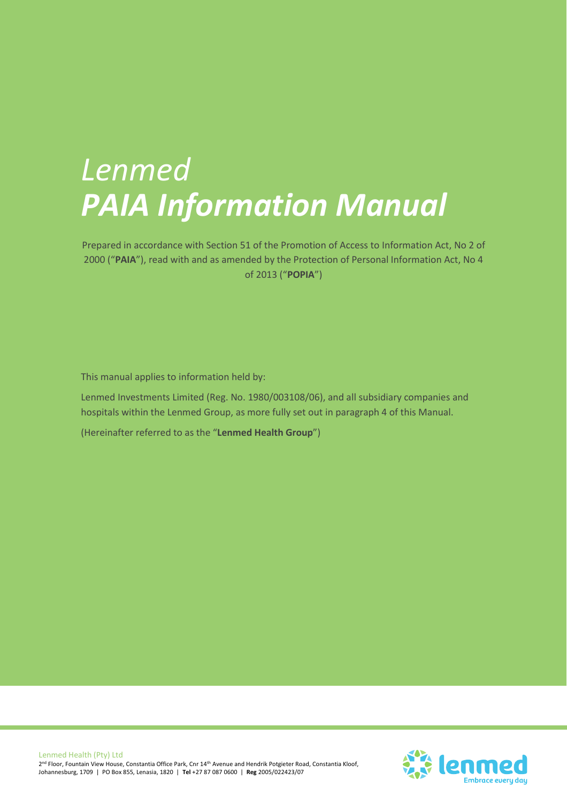# *Lenmed PAIA Information Manual*

Prepared in accordance with Section 51 of the Promotion of Access to Information Act, No 2 of 2000 ("**PAIA**"), read with and as amended by the Protection of Personal Information Act, No 4 of 2013 ("**POPIA**")

This manual applies to information held by:

Lenmed Investments Limited (Reg. No. 1980/003108/06), and all subsidiary companies and hospitals within the Lenmed Group, as more fully set out in paragraph 4 of this Manual.

(Hereinafter referred to as the "**Lenmed Health Group**")

Lenmed Health (Pty) Ltd 2<sup>nd</sup> Floor, Fountain View House, Constantia Office Park, Cnr 14<sup>th</sup> Avenue and Hendrik Potgieter Road, Constantia Kloof, Johannesburg, 1709 | PO Box 855, Lenasia, 1820 | **Tel** +27 87 087 0600 | **Reg** 2005/022423/07

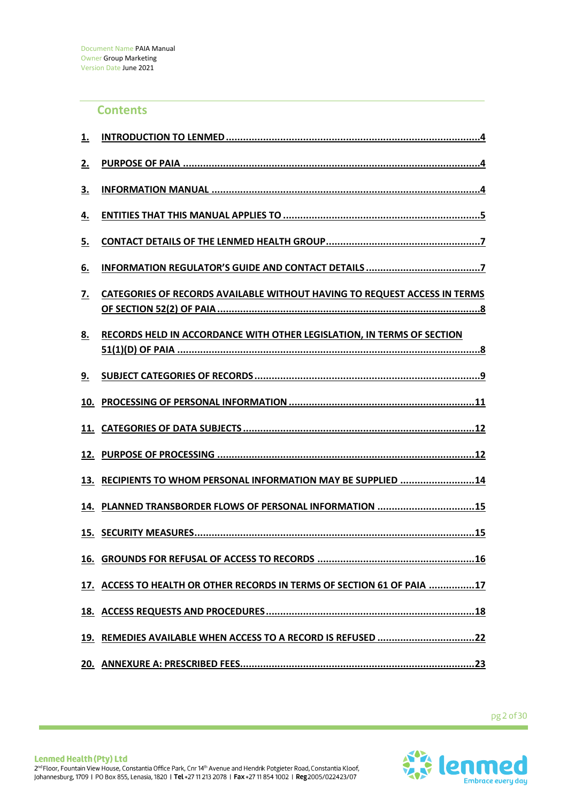## **Contents**

| 1.  |                                                                                  |
|-----|----------------------------------------------------------------------------------|
| 2.  |                                                                                  |
| 3.  |                                                                                  |
| 4.  |                                                                                  |
| 5.  |                                                                                  |
| 6.  |                                                                                  |
| 7.  | <b>CATEGORIES OF RECORDS AVAILABLE WITHOUT HAVING TO REQUEST ACCESS IN TERMS</b> |
| 8.  | RECORDS HELD IN ACCORDANCE WITH OTHER LEGISLATION, IN TERMS OF SECTION           |
| 9.  |                                                                                  |
| 10. |                                                                                  |
|     |                                                                                  |
|     |                                                                                  |
| 13. | RECIPIENTS TO WHOM PERSONAL INFORMATION MAY BE SUPPLIED 14                       |
|     | 14. PLANNED TRANSBORDER FLOWS OF PERSONAL INFORMATION 15                         |
|     |                                                                                  |
|     |                                                                                  |
|     | 17. ACCESS TO HEALTH OR OTHER RECORDS IN TERMS OF SECTION 61 OF PAIA 17          |
|     |                                                                                  |
|     | 19. REMEDIES AVAILABLE WHEN ACCESS TO A RECORD IS REFUSED 22                     |
|     |                                                                                  |

pg2of30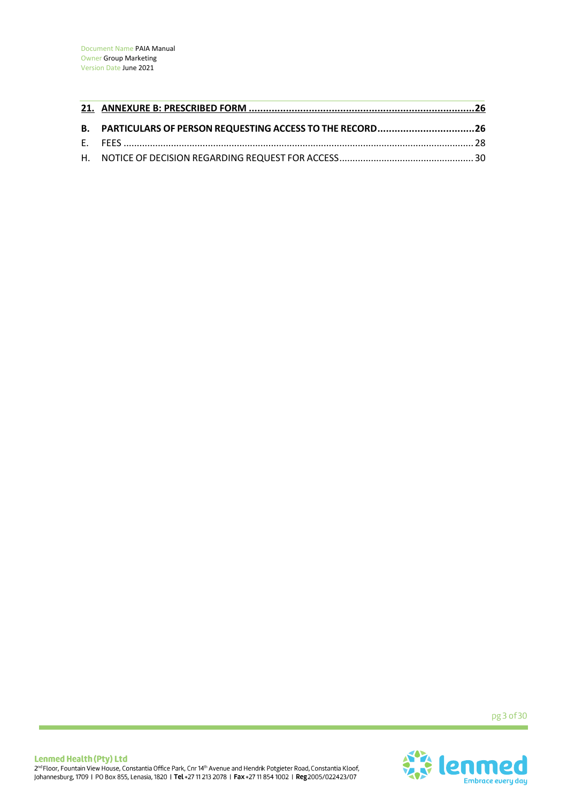| B. PARTICULARS OF PERSON REQUESTING ACCESS TO THE RECORD26 |  |
|------------------------------------------------------------|--|
|                                                            |  |
|                                                            |  |

pg 3 of 30

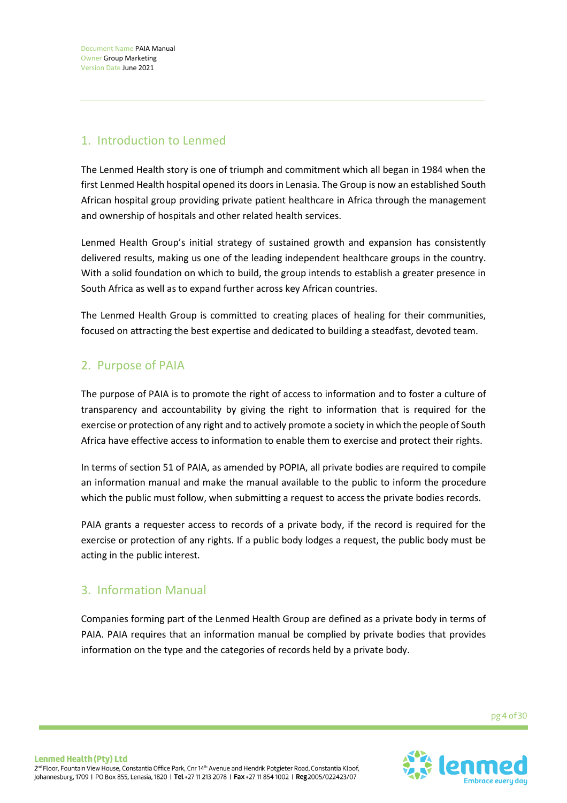Document Name PAIA Manual Owner Group Marketing Version Date June 2021

# 1. Introduction to Lenmed

The Lenmed Health story is one of triumph and commitment which all began in 1984 when the first Lenmed Health hospital opened its doors in Lenasia. The Group is now an established South African hospital group providing private patient healthcare in Africa through the management and ownership of hospitals and other related health services.

Lenmed Health Group's initial strategy of sustained growth and expansion has consistently delivered results, making us one of the leading independent healthcare groups in the country. With a solid foundation on which to build, the group intends to establish a greater presence in South Africa as well as to expand further across key African countries.

The Lenmed Health Group is committed to creating places of healing for their communities, focused on attracting the best expertise and dedicated to building a steadfast, devoted team.

# 2. Purpose of PAIA

The purpose of PAIA is to promote the right of access to information and to foster a culture of transparency and accountability by giving the right to information that is required for the exercise or protection of any right and to actively promote a society in which the people of South Africa have effective access to information to enable them to exercise and protect their rights.

In terms of section 51 of PAIA, as amended by POPIA, all private bodies are required to compile an information manual and make the manual available to the public to inform the procedure which the public must follow, when submitting a request to access the private bodies records.

PAIA grants a requester access to records of a private body, if the record is required for the exercise or protection of any rights. If a public body lodges a request, the public body must be acting in the public interest.

## 3. Information Manual

Companies forming part of the Lenmed Health Group are defined as a private body in terms of PAIA. PAIA requires that an information manual be complied by private bodies that provides information on the type and the categories of records held by a private body.

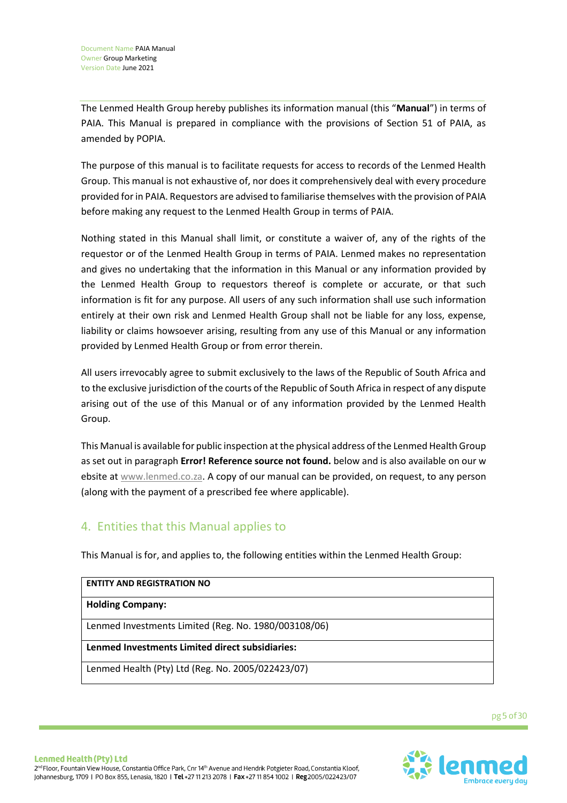The Lenmed Health Group hereby publishes its information manual (this "**Manual**") in terms of PAIA. This Manual is prepared in compliance with the provisions of Section 51 of PAIA, as amended by POPIA.

The purpose of this manual is to facilitate requests for access to records of the Lenmed Health Group. This manual is not exhaustive of, nor does it comprehensively deal with every procedure provided for in PAIA. Requestors are advised to familiarise themselves with the provision of PAIA before making any request to the Lenmed Health Group in terms of PAIA.

Nothing stated in this Manual shall limit, or constitute a waiver of, any of the rights of the requestor or of the Lenmed Health Group in terms of PAIA. Lenmed makes no representation and gives no undertaking that the information in this Manual or any information provided by the Lenmed Health Group to requestors thereof is complete or accurate, or that such information is fit for any purpose. All users of any such information shall use such information entirely at their own risk and Lenmed Health Group shall not be liable for any loss, expense, liability or claims howsoever arising, resulting from any use of this Manual or any information provided by Lenmed Health Group or from error therein.

All users irrevocably agree to submit exclusively to the laws of the Republic of South Africa and to the exclusive jurisdiction of the courts of the Republic of South Africa in respect of any dispute arising out of the use of this Manual or of any information provided by the Lenmed Health Group.

This Manual is available for public inspection at the physical address of the Lenmed Health Group as set out in paragraph **Error! Reference source not found.** below and is also available on our w ebsite a[t www.lenmed.co.za.](http://www.lenmed.co.za/) A copy of our manual can be provided, on request, to any person (along with the payment of a prescribed fee where applicable).

# 4. Entities that this Manual applies to

This Manual is for, and applies to, the following entities within the Lenmed Health Group:

| <b>ENTITY AND REGISTRATION NO</b>                    |
|------------------------------------------------------|
| <b>Holding Company:</b>                              |
| Lenmed Investments Limited (Reg. No. 1980/003108/06) |
| Lenmed Investments Limited direct subsidiaries:      |
| Lenmed Health (Pty) Ltd (Reg. No. 2005/022423/07)    |

pg 5 of 30

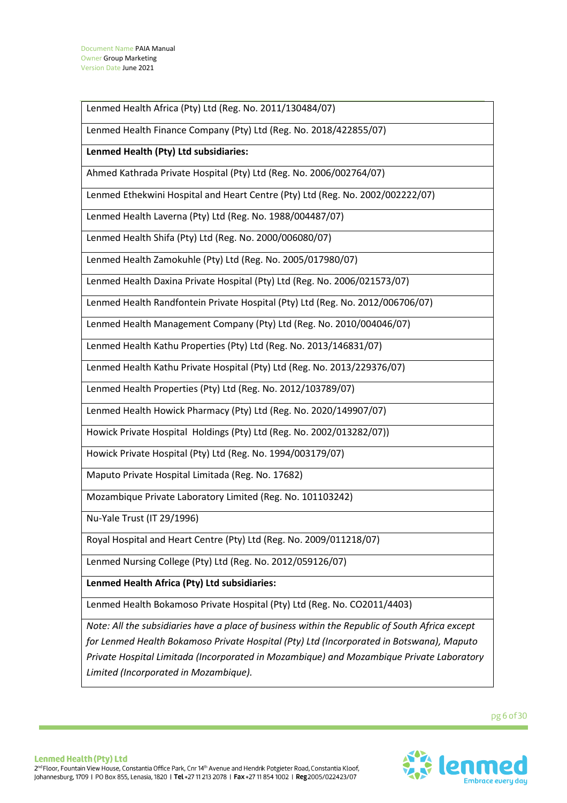Lenmed Health Africa (Pty) Ltd (Reg. No. 2011/130484/07)

Lenmed Health Finance Company (Pty) Ltd (Reg. No. 2018/422855/07)

**Lenmed Health (Pty) Ltd subsidiaries:**

Ahmed Kathrada Private Hospital (Pty) Ltd (Reg. No. 2006/002764/07)

Lenmed Ethekwini Hospital and Heart Centre (Pty) Ltd (Reg. No. 2002/002222/07)

Lenmed Health Laverna (Pty) Ltd (Reg. No. 1988/004487/07)

Lenmed Health Shifa (Pty) Ltd (Reg. No. 2000/006080/07)

Lenmed Health Zamokuhle (Pty) Ltd (Reg. No. 2005/017980/07)

Lenmed Health Daxina Private Hospital (Pty) Ltd (Reg. No. 2006/021573/07)

Lenmed Health Randfontein Private Hospital (Pty) Ltd (Reg. No. 2012/006706/07)

Lenmed Health Management Company (Pty) Ltd (Reg. No. 2010/004046/07)

Lenmed Health Kathu Properties (Pty) Ltd (Reg. No. 2013/146831/07)

Lenmed Health Kathu Private Hospital (Pty) Ltd (Reg. No. 2013/229376/07)

Lenmed Health Properties (Pty) Ltd (Reg. No. 2012/103789/07)

Lenmed Health Howick Pharmacy (Pty) Ltd (Reg. No. 2020/149907/07)

Howick Private Hospital Holdings (Pty) Ltd (Reg. No. 2002/013282/07))

Howick Private Hospital (Pty) Ltd (Reg. No. 1994/003179/07)

Maputo Private Hospital Limitada (Reg. No. 17682)

Mozambique Private Laboratory Limited (Reg. No. 101103242)

Nu-Yale Trust (IT 29/1996)

Royal Hospital and Heart Centre (Pty) Ltd (Reg. No. 2009/011218/07)

Lenmed Nursing College (Pty) Ltd (Reg. No. 2012/059126/07)

**Lenmed Health Africa (Pty) Ltd subsidiaries:**

Lenmed Health Bokamoso Private Hospital (Pty) Ltd (Reg. No. CO2011/4403)

*Note: All the subsidiaries have a place of business within the Republic of South Africa except for Lenmed Health Bokamoso Private Hospital (Pty) Ltd (Incorporated in Botswana), Maputo Private Hospital Limitada (Incorporated in Mozambique) and Mozambique Private Laboratory Limited (Incorporated in Mozambique).*

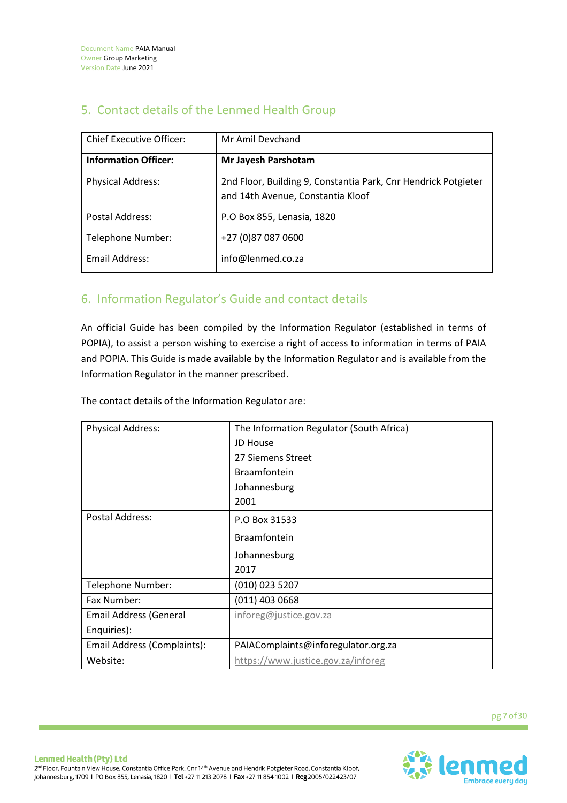# 5. Contact details of the Lenmed Health Group

| <b>Chief Executive Officer:</b> | Mr Amil Devchand                                                                                    |
|---------------------------------|-----------------------------------------------------------------------------------------------------|
| <b>Information Officer:</b>     | Mr Jayesh Parshotam                                                                                 |
| <b>Physical Address:</b>        | 2nd Floor, Building 9, Constantia Park, Cnr Hendrick Potgieter<br>and 14th Avenue, Constantia Kloof |
| Postal Address:                 | P.O Box 855, Lenasia, 1820                                                                          |
| Telephone Number:               | +27 (0)87 087 0600                                                                                  |
| Email Address:                  | info@lenmed.co.za                                                                                   |

# 6. Information Regulator's Guide and contact details

An official Guide has been compiled by the Information Regulator (established in terms of POPIA), to assist a person wishing to exercise a right of access to information in terms of PAIA and POPIA. This Guide is made available by the Information Regulator and is available from the Information Regulator in the manner prescribed.

The contact details of the Information Regulator are:

| <b>Physical Address:</b>    | The Information Regulator (South Africa) |
|-----------------------------|------------------------------------------|
|                             | JD House                                 |
|                             | 27 Siemens Street                        |
|                             | <b>Braamfontein</b>                      |
|                             | Johannesburg                             |
|                             | 2001                                     |
| Postal Address:             | P.O Box 31533                            |
|                             | <b>Braamfontein</b>                      |
|                             | Johannesburg                             |
|                             | 2017                                     |
| Telephone Number:           | (010) 023 5207                           |
| Fax Number:                 | $(011)$ 403 0668                         |
| Email Address (General      | inforeg@justice.gov.za                   |
| Enquiries):                 |                                          |
| Email Address (Complaints): | PAIAComplaints@inforegulator.org.za      |
| Website:                    | https://www.justice.gov.za/inforeg       |

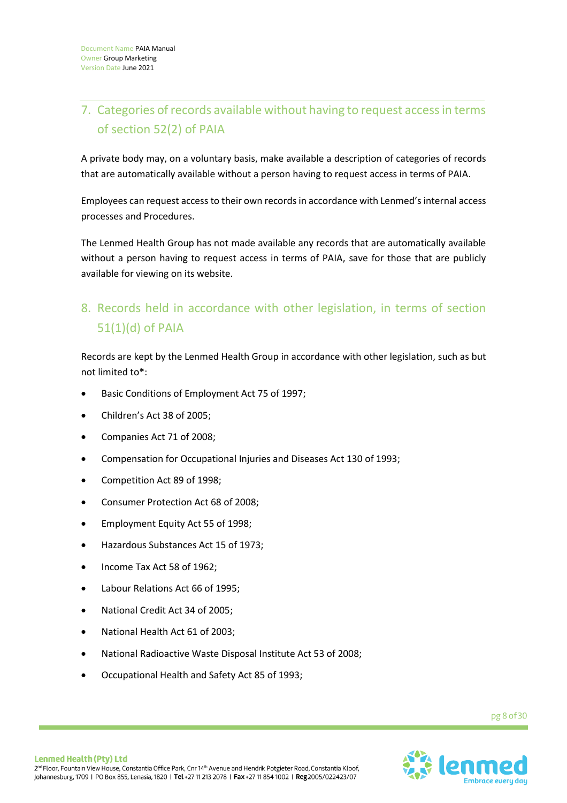# 7. Categories of records available without having to request access in terms of section 52(2) of PAIA

A private body may, on a voluntary basis, make available a description of categories of records that are automatically available without a person having to request access in terms of PAIA.

Employees can request access to their own records in accordance with Lenmed's internal access processes and Procedures.

The Lenmed Health Group has not made available any records that are automatically available without a person having to request access in terms of PAIA, save for those that are publicly available for viewing on its website.

# 8. Records held in accordance with other legislation, in terms of section 51(1)(d) of PAIA

Records are kept by the Lenmed Health Group in accordance with other legislation, such as but not limited to**\***:

- Basic Conditions of Employment Act 75 of 1997;
- Children's Act 38 of 2005;
- Companies Act 71 of 2008;
- Compensation for Occupational Injuries and Diseases Act 130 of 1993;
- Competition Act 89 of 1998;
- Consumer Protection Act 68 of 2008;
- Employment Equity Act 55 of 1998;
- Hazardous Substances Act 15 of 1973;
- Income Tax Act 58 of 1962;
- Labour Relations Act 66 of 1995;
- National Credit Act 34 of 2005;
- National Health Act 61 of 2003;
- National Radioactive Waste Disposal Institute Act 53 of 2008;
- Occupational Health and Safety Act 85 of 1993;

pg8of30

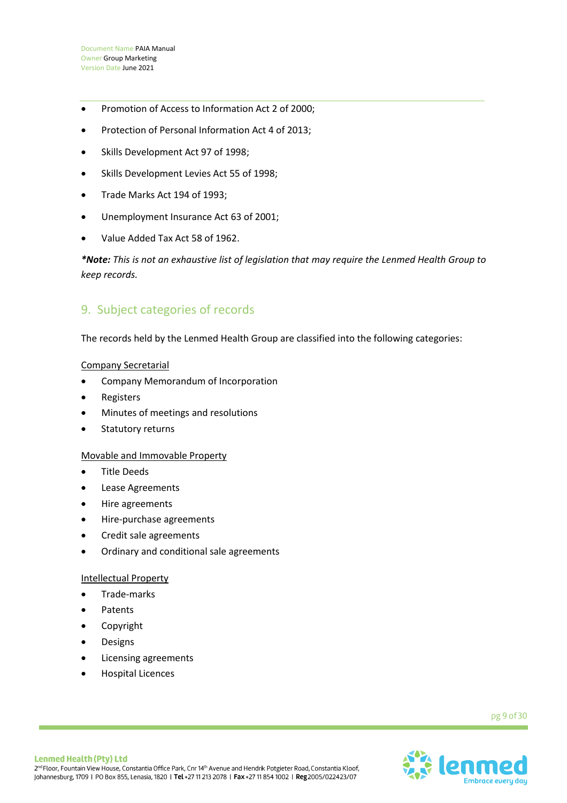- Promotion of Access to Information Act 2 of 2000;
- Protection of Personal Information Act 4 of 2013;
- Skills Development Act 97 of 1998;
- Skills Development Levies Act 55 of 1998;
- Trade Marks Act 194 of 1993;
- Unemployment Insurance Act 63 of 2001;
- Value Added Tax Act 58 of 1962.

*\*Note: This is not an exhaustive list of legislation that may require the Lenmed Health Group to keep records.*

## 9. Subject categories of records

The records held by the Lenmed Health Group are classified into the following categories:

## Company Secretarial

- Company Memorandum of Incorporation
- **Registers**
- Minutes of meetings and resolutions
- Statutory returns

## Movable and Immovable Property

- Title Deeds
- Lease Agreements
- Hire agreements
- Hire-purchase agreements
- Credit sale agreements
- Ordinary and conditional sale agreements

## Intellectual Property

- Trade-marks
- **Patents**
- **Copyright**
- **Designs**
- Licensing agreements
- Hospital Licences

pg 9 of 30

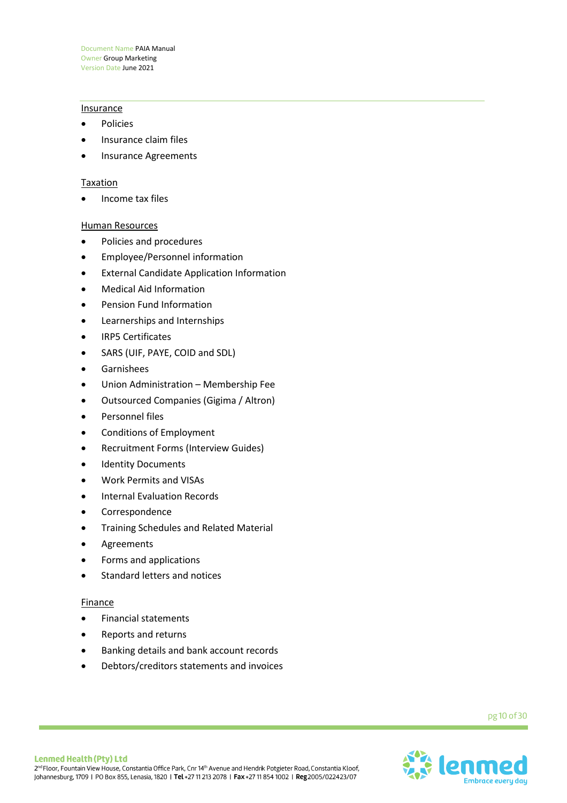#### **Insurance**

- **Policies**
- Insurance claim files
- Insurance Agreements

#### **Taxation**

• Income tax files

#### Human Resources

- Policies and procedures
- Employee/Personnel information
- External Candidate Application Information
- Medical Aid Information
- Pension Fund Information
- Learnerships and Internships
- IRP5 Certificates
- SARS (UIF, PAYE, COID and SDL)
- Garnishees
- Union Administration Membership Fee
- Outsourced Companies (Gigima / Altron)
- Personnel files
- Conditions of Employment
- Recruitment Forms (Interview Guides)
- **Identity Documents**
- Work Permits and VISAs
- Internal Evaluation Records
- **Correspondence**
- Training Schedules and Related Material
- **Agreements**
- Forms and applications
- Standard letters and notices

#### Finance

- Financial statements
- Reports and returns
- Banking details and bank account records
- Debtors/creditors statements and invoices

pg 10 of 30

![](_page_9_Picture_36.jpeg)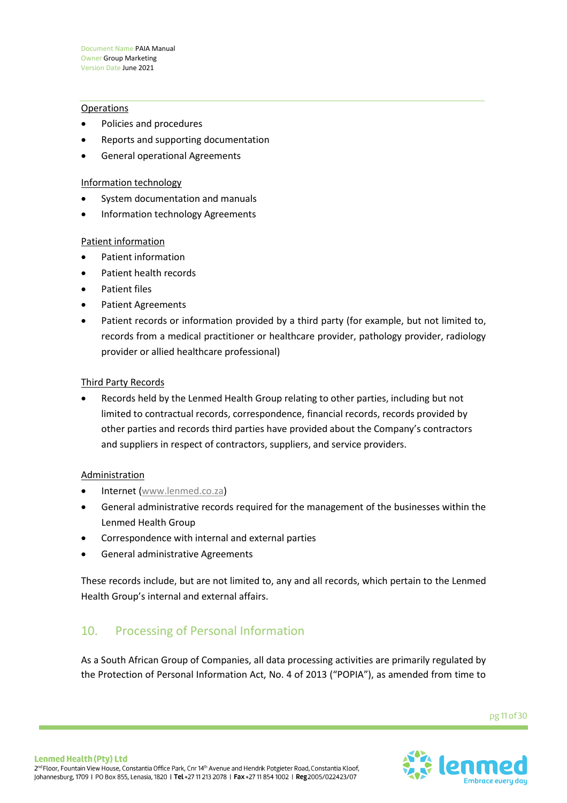## **Operations**

- Policies and procedures
- Reports and supporting documentation
- General operational Agreements

## Information technology

- System documentation and manuals
- Information technology Agreements

## Patient information

- Patient information
- Patient health records
- Patient files
- Patient Agreements
- Patient records or information provided by a third party (for example, but not limited to, records from a medical practitioner or healthcare provider, pathology provider, radiology provider or allied healthcare professional)

## Third Party Records

• Records held by the Lenmed Health Group relating to other parties, including but not limited to contractual records, correspondence, financial records, records provided by other parties and records third parties have provided about the Company's contractors and suppliers in respect of contractors, suppliers, and service providers.

## Administration

- Internet [\(www.lenmed.co.za\)](http://www.lenmed.co.za/)
- General administrative records required for the management of the businesses within the Lenmed Health Group
- Correspondence with internal and external parties
- General administrative Agreements

These records include, but are not limited to, any and all records, which pertain to the Lenmed Health Group's internal and external affairs.

## 10. Processing of Personal Information

As a South African Group of Companies, all data processing activities are primarily regulated by the Protection of Personal Information Act, No. 4 of 2013 ("POPIA"), as amended from time to

![](_page_10_Picture_25.jpeg)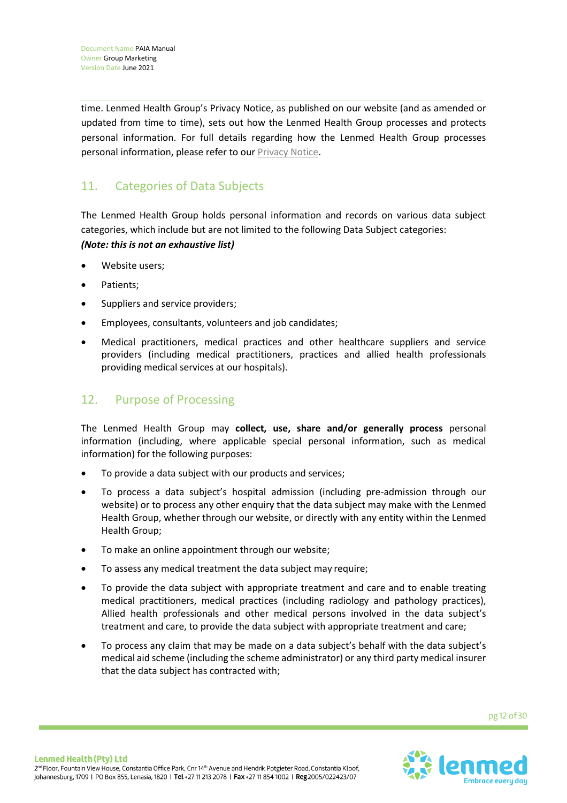time. Lenmed Health Group's Privacy Notice, as published on our website (and as amended or updated from time to time), sets out how the Lenmed Health Group processes and protects personal information. For full details regarding how the Lenmed Health Group processes personal information, please refer to our [Privacy Notice.](URL%20https:/www.lenmed.co.za/wp-content/uploads/lenmed-privacy-policy-2021-00.pdf)

# 11. Categories of Data Subjects

The Lenmed Health Group holds personal information and records on various data subject categories, which include but are not limited to the following Data Subject categories: *(Note: this is not an exhaustive list)*

- Website users:
- Patients;
- Suppliers and service providers;
- Employees, consultants, volunteers and job candidates;
- Medical practitioners, medical practices and other healthcare suppliers and service providers (including medical practitioners, practices and allied health professionals providing medical services at our hospitals).

# 12. Purpose of Processing

The Lenmed Health Group may **collect, use, share and/or generally process** personal information (including, where applicable special personal information, such as medical information) for the following purposes:

- To provide a data subject with our products and services;
- To process a data subject's hospital admission (including pre-admission through our website) or to process any other enquiry that the data subject may make with the Lenmed Health Group, whether through our website, or directly with any entity within the Lenmed Health Group;
- To make an online appointment through our website;
- To assess any medical treatment the data subject may require;
- To provide the data subject with appropriate treatment and care and to enable treating medical practitioners, medical practices (including radiology and pathology practices), Allied health professionals and other medical persons involved in the data subject's treatment and care, to provide the data subject with appropriate treatment and care;
- To process any claim that may be made on a data subject's behalf with the data subject's medical aid scheme (including the scheme administrator) or any third party medical insurer that the data subject has contracted with;

![](_page_11_Picture_18.jpeg)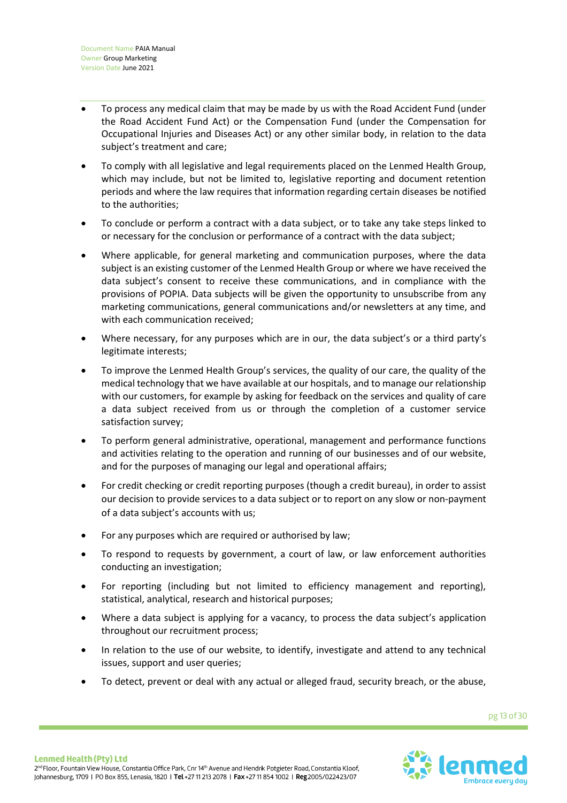- To process any medical claim that may be made by us with the Road Accident Fund (under the Road Accident Fund Act) or the Compensation Fund (under the Compensation for Occupational Injuries and Diseases Act) or any other similar body, in relation to the data subject's treatment and care;
- To comply with all legislative and legal requirements placed on the Lenmed Health Group, which may include, but not be limited to, legislative reporting and document retention periods and where the law requires that information regarding certain diseases be notified to the authorities;
- To conclude or perform a contract with a data subject, or to take any take steps linked to or necessary for the conclusion or performance of a contract with the data subject;
- Where applicable, for general marketing and communication purposes, where the data subject is an existing customer of the Lenmed Health Group or where we have received the data subject's consent to receive these communications, and in compliance with the provisions of POPIA. Data subjects will be given the opportunity to unsubscribe from any marketing communications, general communications and/or newsletters at any time, and with each communication received;
- Where necessary, for any purposes which are in our, the data subject's or a third party's legitimate interests;
- To improve the Lenmed Health Group's services, the quality of our care, the quality of the medical technology that we have available at our hospitals, and to manage our relationship with our customers, for example by asking for feedback on the services and quality of care a data subject received from us or through the completion of a customer service satisfaction survey;
- To perform general administrative, operational, management and performance functions and activities relating to the operation and running of our businesses and of our website, and for the purposes of managing our legal and operational affairs;
- For credit checking or credit reporting purposes (though a credit bureau), in order to assist our decision to provide services to a data subject or to report on any slow or non-payment of a data subject's accounts with us;
- For any purposes which are required or authorised by law;
- To respond to requests by government, a court of law, or law enforcement authorities conducting an investigation;
- For reporting (including but not limited to efficiency management and reporting), statistical, analytical, research and historical purposes;
- Where a data subject is applying for a vacancy, to process the data subject's application throughout our recruitment process;
- In relation to the use of our website, to identify, investigate and attend to any technical issues, support and user queries;
- To detect, prevent or deal with any actual or alleged fraud, security breach, or the abuse,

![](_page_12_Picture_16.jpeg)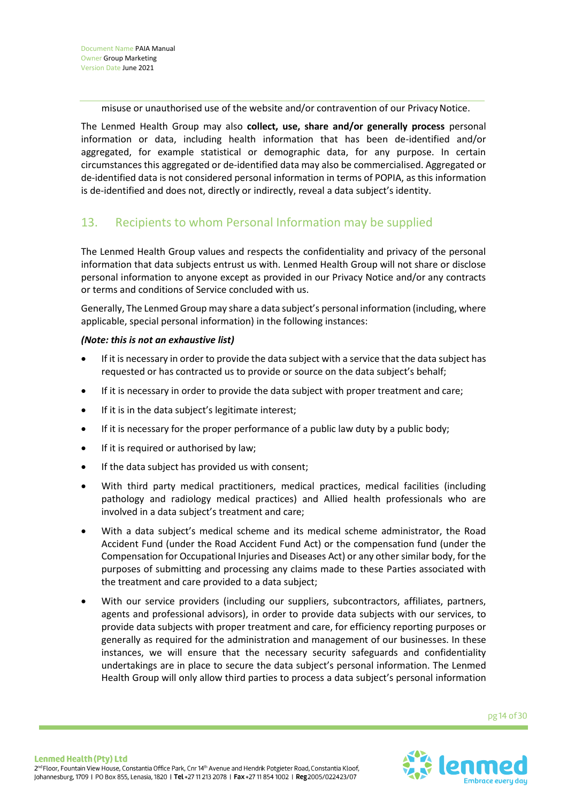misuse or unauthorised use of the website and/or contravention of our Privacy Notice.

The Lenmed Health Group may also **collect, use, share and/or generally process** personal information or data, including health information that has been de-identified and/or aggregated, for example statistical or demographic data, for any purpose. In certain circumstances this aggregated or de-identified data may also be commercialised. Aggregated or de-identified data is not considered personal information in terms of POPIA, as this information is de-identified and does not, directly or indirectly, reveal a data subject's identity.

## 13. Recipients to whom Personal Information may be supplied

The Lenmed Health Group values and respects the confidentiality and privacy of the personal information that data subjects entrust us with. Lenmed Health Group will not share or disclose personal information to anyone except as provided in our Privacy Notice and/or any contracts or terms and conditions of Service concluded with us.

Generally, The Lenmed Group may share a data subject's personal information (including, where applicable, special personal information) in the following instances:

## *(Note: this is not an exhaustive list)*

- If it is necessary in order to provide the data subject with a service that the data subject has requested or has contracted us to provide or source on the data subject's behalf;
- If it is necessary in order to provide the data subject with proper treatment and care;
- If it is in the data subject's legitimate interest;
- If it is necessary for the proper performance of a public law duty by a public body;
- If it is required or authorised by law;
- If the data subject has provided us with consent;
- With third party medical practitioners, medical practices, medical facilities (including pathology and radiology medical practices) and Allied health professionals who are involved in a data subject's treatment and care;
- With a data subject's medical scheme and its medical scheme administrator, the Road Accident Fund (under the Road Accident Fund Act) or the compensation fund (under the Compensation for Occupational Injuries and Diseases Act) or any other similar body, for the purposes of submitting and processing any claims made to these Parties associated with the treatment and care provided to a data subject;
- With our service providers (including our suppliers, subcontractors, affiliates, partners, agents and professional advisors), in order to provide data subjects with our services, to provide data subjects with proper treatment and care, for efficiency reporting purposes or generally as required for the administration and management of our businesses. In these instances, we will ensure that the necessary security safeguards and confidentiality undertakings are in place to secure the data subject's personal information. The Lenmed Health Group will only allow third parties to process a data subject's personal information

![](_page_13_Picture_17.jpeg)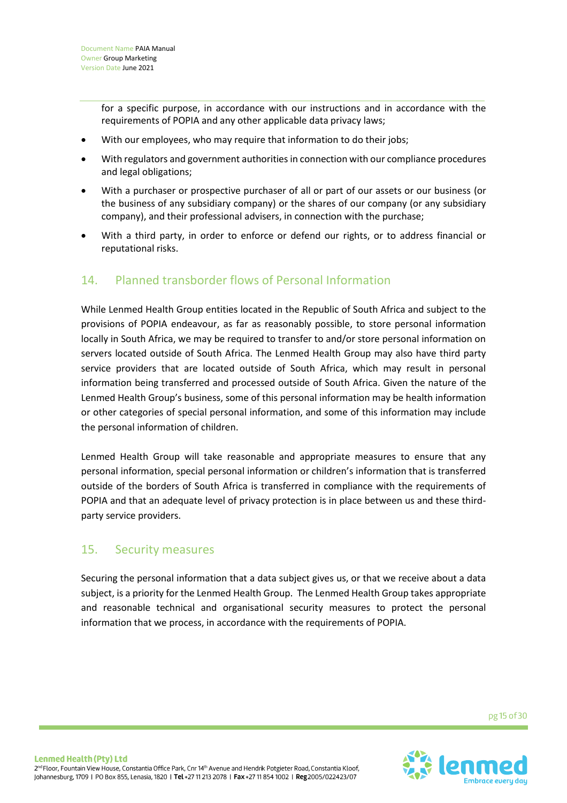for a specific purpose, in accordance with our instructions and in accordance with the requirements of POPIA and any other applicable data privacy laws;

- With our employees, who may require that information to do their jobs;
- With regulators and government authorities in connection with our compliance procedures and legal obligations;
- With a purchaser or prospective purchaser of all or part of our assets or our business (or the business of any subsidiary company) or the shares of our company (or any subsidiary company), and their professional advisers, in connection with the purchase;
- With a third party, in order to enforce or defend our rights, or to address financial or reputational risks.

## 14. Planned transborder flows of Personal Information

While Lenmed Health Group entities located in the Republic of South Africa and subject to the provisions of POPIA endeavour, as far as reasonably possible, to store personal information locally in South Africa, we may be required to transfer to and/or store personal information on servers located outside of South Africa. The Lenmed Health Group may also have third party service providers that are located outside of South Africa, which may result in personal information being transferred and processed outside of South Africa. Given the nature of the Lenmed Health Group's business, some of this personal information may be health information or other categories of special personal information, and some of this information may include the personal information of children.

Lenmed Health Group will take reasonable and appropriate measures to ensure that any personal information, special personal information or children's information that is transferred outside of the borders of South Africa is transferred in compliance with the requirements of POPIA and that an adequate level of privacy protection is in place between us and these thirdparty service providers.

## 15. Security measures

Securing the personal information that a data subject gives us, or that we receive about a data subject, is a priority for the Lenmed Health Group. The Lenmed Health Group takes appropriate and reasonable technical and organisational security measures to protect the personal information that we process, in accordance with the requirements of POPIA.

pg 15 of 30

![](_page_14_Picture_12.jpeg)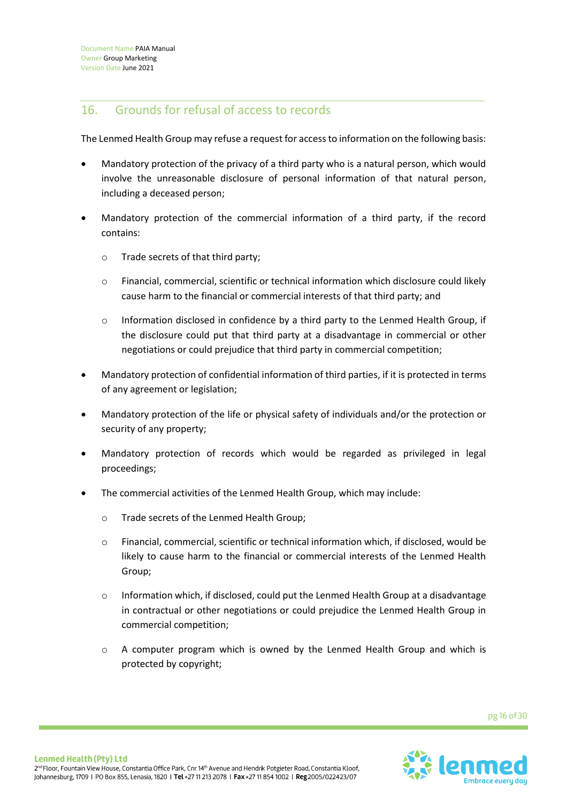## 16. Grounds for refusal of access to records

The Lenmed Health Group may refuse a request for access to information on the following basis:

- Mandatory protection of the privacy of a third party who is a natural person, which would involve the unreasonable disclosure of personal information of that natural person, including a deceased person;
- Mandatory protection of the commercial information of a third party, if the record contains:
	- o Trade secrets of that third party;
	- o Financial, commercial, scientific or technical information which disclosure could likely cause harm to the financial or commercial interests of that third party; and
	- $\circ$  Information disclosed in confidence by a third party to the Lenmed Health Group, if the disclosure could put that third party at a disadvantage in commercial or other negotiations or could prejudice that third party in commercial competition;
- Mandatory protection of confidential information of third parties, if it is protected in terms of any agreement or legislation;
- Mandatory protection of the life or physical safety of individuals and/or the protection or security of any property;
- Mandatory protection of records which would be regarded as privileged in legal proceedings;
- The commercial activities of the Lenmed Health Group, which may include:
	- o Trade secrets of the Lenmed Health Group;
	- o Financial, commercial, scientific or technical information which, if disclosed, would be likely to cause harm to the financial or commercial interests of the Lenmed Health Group;
	- o Information which, if disclosed, could put the Lenmed Health Group at a disadvantage in contractual or other negotiations or could prejudice the Lenmed Health Group in commercial competition;
	- $\circ$  A computer program which is owned by the Lenmed Health Group and which is protected by copyright;

![](_page_15_Picture_17.jpeg)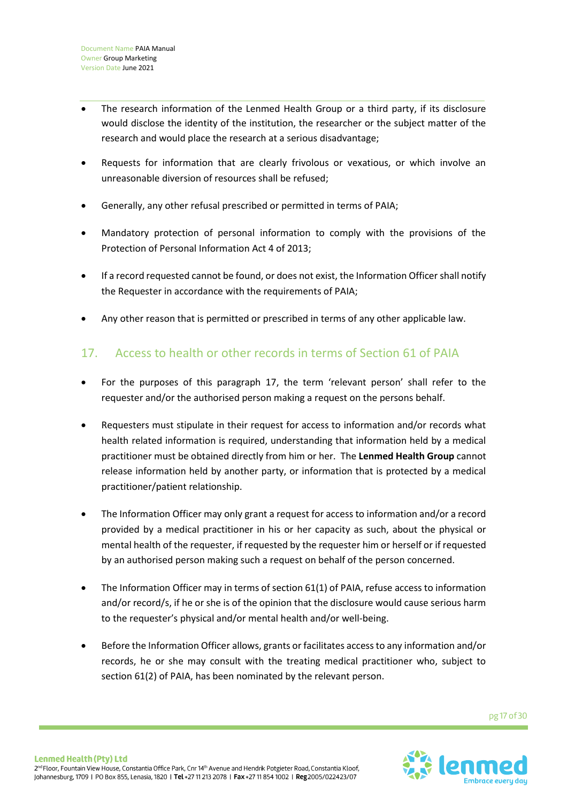- The research information of the Lenmed Health Group or a third party, if its disclosure would disclose the identity of the institution, the researcher or the subject matter of the research and would place the research at a serious disadvantage;
- Requests for information that are clearly frivolous or vexatious, or which involve an unreasonable diversion of resources shall be refused;
- Generally, any other refusal prescribed or permitted in terms of PAIA;
- Mandatory protection of personal information to comply with the provisions of the Protection of Personal Information Act 4 of 2013;
- If a record requested cannot be found, or does not exist, the Information Officer shall notify the Requester in accordance with the requirements of PAIA;
- Any other reason that is permitted or prescribed in terms of any other applicable law.

# 17. Access to health or other records in terms of Section 61 of PAIA

- For the purposes of this paragraph 17, the term 'relevant person' shall refer to the requester and/or the authorised person making a request on the persons behalf.
- Requesters must stipulate in their request for access to information and/or records what health related information is required, understanding that information held by a medical practitioner must be obtained directly from him or her. The **Lenmed Health Group** cannot release information held by another party, or information that is protected by a medical practitioner/patient relationship.
- The Information Officer may only grant a request for access to information and/or a record provided by a medical practitioner in his or her capacity as such, about the physical or mental health of the requester, if requested by the requester him or herself or if requested by an authorised person making such a request on behalf of the person concerned.
- The Information Officer may in terms of section 61(1) of PAIA, refuse access to information and/or record/s, if he or she is of the opinion that the disclosure would cause serious harm to the requester's physical and/or mental health and/or well-being.
- Before the Information Officer allows, grants or facilitates access to any information and/or records, he or she may consult with the treating medical practitioner who, subject to section 61(2) of PAIA, has been nominated by the relevant person.

![](_page_16_Picture_14.jpeg)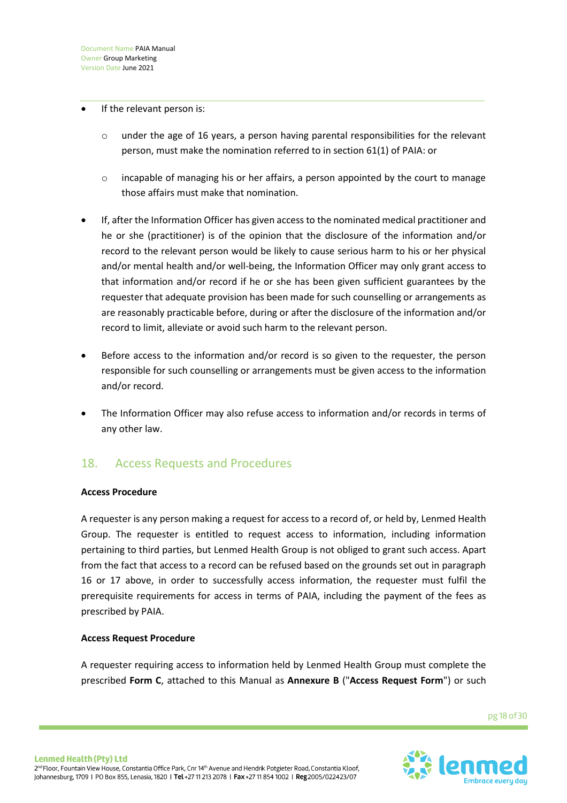#### If the relevant person is:

- $\circ$  under the age of 16 years, a person having parental responsibilities for the relevant person, must make the nomination referred to in section 61(1) of PAIA: or
- $\circ$  incapable of managing his or her affairs, a person appointed by the court to manage those affairs must make that nomination.
- If, after the Information Officer has given access to the nominated medical practitioner and he or she (practitioner) is of the opinion that the disclosure of the information and/or record to the relevant person would be likely to cause serious harm to his or her physical and/or mental health and/or well-being, the Information Officer may only grant access to that information and/or record if he or she has been given sufficient guarantees by the requester that adequate provision has been made for such counselling or arrangements as are reasonably practicable before, during or after the disclosure of the information and/or record to limit, alleviate or avoid such harm to the relevant person.
- Before access to the information and/or record is so given to the requester, the person responsible for such counselling or arrangements must be given access to the information and/or record.
- The Information Officer may also refuse access to information and/or records in terms of any other law.

## 18. Access Requests and Procedures

## **Access Procedure**

A requester is any person making a request for access to a record of, or held by, Lenmed Health Group. The requester is entitled to request access to information, including information pertaining to third parties, but Lenmed Health Group is not obliged to grant such access. Apart from the fact that access to a record can be refused based on the grounds set out in paragraph 16 or 17 above, in order to successfully access information, the requester must fulfil the prerequisite requirements for access in terms of PAIA, including the payment of the fees as prescribed by PAIA.

## **Access Request Procedure**

A requester requiring access to information held by Lenmed Health Group must complete the prescribed **Form C**, attached to this Manual as **Annexure B** ("**Access Request Form**") or such

pg 18 of 30

![](_page_17_Picture_13.jpeg)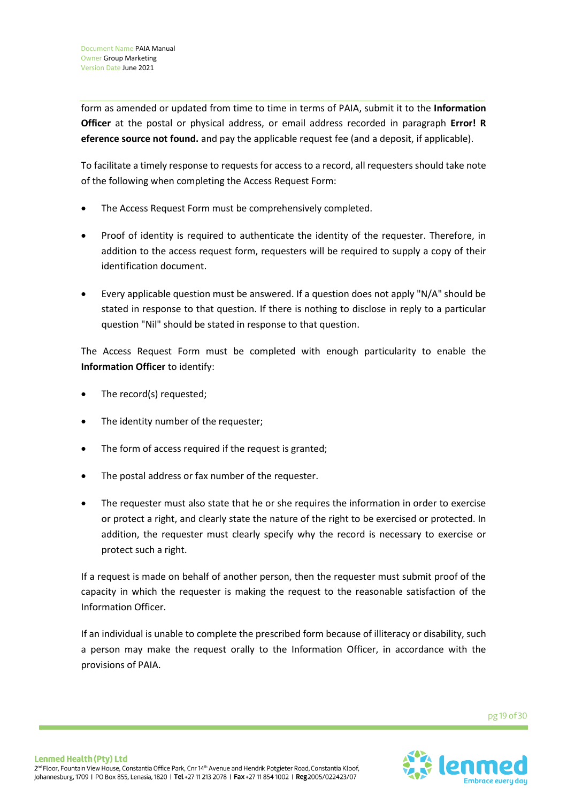form as amended or updated from time to time in terms of PAIA, submit it to the **Information Officer** at the postal or physical address, or email address recorded in paragraph **Error! R eference source not found.** and pay the applicable request fee (and a deposit, if applicable).

To facilitate a timely response to requests for access to a record, all requesters should take note of the following when completing the Access Request Form:

- The Access Request Form must be comprehensively completed.
- Proof of identity is required to authenticate the identity of the requester. Therefore, in addition to the access request form, requesters will be required to supply a copy of their identification document.
- Every applicable question must be answered. If a question does not apply "N/A" should be stated in response to that question. If there is nothing to disclose in reply to a particular question "Nil" should be stated in response to that question.

The Access Request Form must be completed with enough particularity to enable the **Information Officer** to identify:

- The record(s) requested;
- The identity number of the requester;
- The form of access required if the request is granted;
- The postal address or fax number of the requester.
- The requester must also state that he or she requires the information in order to exercise or protect a right, and clearly state the nature of the right to be exercised or protected. In addition, the requester must clearly specify why the record is necessary to exercise or protect such a right.

If a request is made on behalf of another person, then the requester must submit proof of the capacity in which the requester is making the request to the reasonable satisfaction of the Information Officer.

If an individual is unable to complete the prescribed form because of illiteracy or disability, such a person may make the request orally to the Information Officer, in accordance with the provisions of PAIA.

![](_page_18_Picture_15.jpeg)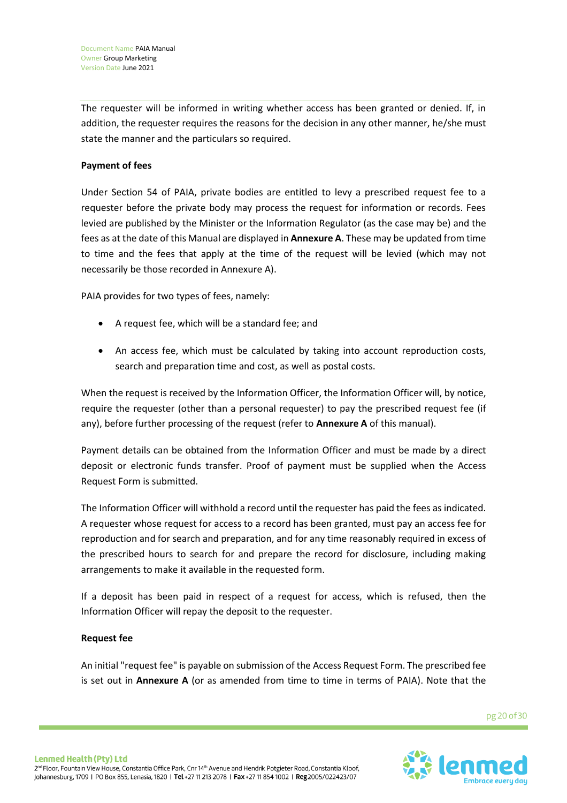The requester will be informed in writing whether access has been granted or denied. If, in addition, the requester requires the reasons for the decision in any other manner, he/she must state the manner and the particulars so required.

## **Payment of fees**

Under Section 54 of PAIA, private bodies are entitled to levy a prescribed request fee to a requester before the private body may process the request for information or records. Fees levied are published by the Minister or the Information Regulator (as the case may be) and the fees as at the date of this Manual are displayed in **Annexure A**. These may be updated from time to time and the fees that apply at the time of the request will be levied (which may not necessarily be those recorded in Annexure A).

PAIA provides for two types of fees, namely:

- A request fee, which will be a standard fee; and
- An access fee, which must be calculated by taking into account reproduction costs, search and preparation time and cost, as well as postal costs.

When the request is received by the Information Officer, the Information Officer will, by notice, require the requester (other than a personal requester) to pay the prescribed request fee (if any), before further processing of the request (refer to **Annexure A** of this manual).

Payment details can be obtained from the Information Officer and must be made by a direct deposit or electronic funds transfer. Proof of payment must be supplied when the Access Request Form is submitted.

The Information Officer will withhold a record until the requester has paid the fees as indicated. A requester whose request for access to a record has been granted, must pay an access fee for reproduction and for search and preparation, and for any time reasonably required in excess of the prescribed hours to search for and prepare the record for disclosure, including making arrangements to make it available in the requested form.

If a deposit has been paid in respect of a request for access, which is refused, then the Information Officer will repay the deposit to the requester.

## **Request fee**

An initial "request fee" is payable on submission of the Access Request Form. The prescribed fee is set out in **Annexure A** (or as amended from time to time in terms of PAIA). Note that the

pg 20 of 30

![](_page_19_Picture_14.jpeg)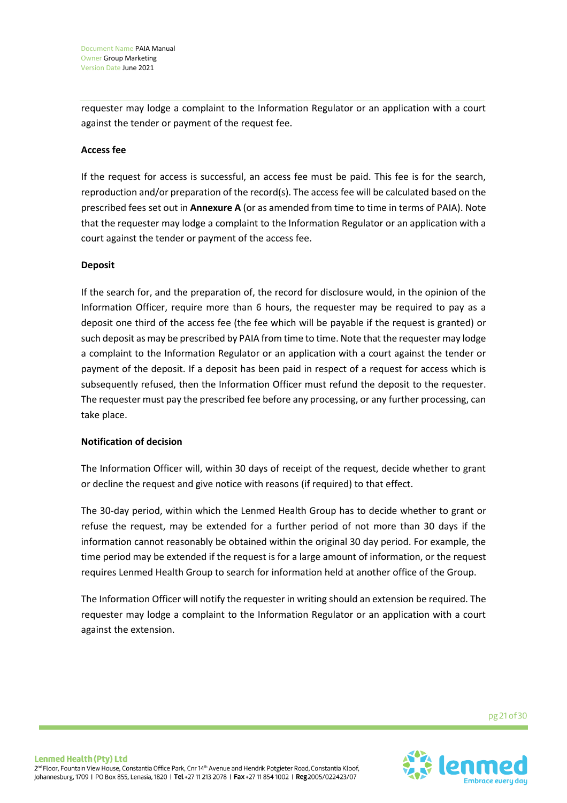requester may lodge a complaint to the Information Regulator or an application with a court against the tender or payment of the request fee.

## **Access fee**

If the request for access is successful, an access fee must be paid. This fee is for the search, reproduction and/or preparation of the record(s). The access fee will be calculated based on the prescribed fees set out in **Annexure A** (or as amended from time to time in terms of PAIA). Note that the requester may lodge a complaint to the Information Regulator or an application with a court against the tender or payment of the access fee.

#### **Deposit**

If the search for, and the preparation of, the record for disclosure would, in the opinion of the Information Officer, require more than 6 hours, the requester may be required to pay as a deposit one third of the access fee (the fee which will be payable if the request is granted) or such deposit as may be prescribed by PAIA from time to time. Note that the requester may lodge a complaint to the Information Regulator or an application with a court against the tender or payment of the deposit. If a deposit has been paid in respect of a request for access which is subsequently refused, then the Information Officer must refund the deposit to the requester. The requester must pay the prescribed fee before any processing, or any further processing, can take place.

## **Notification of decision**

The Information Officer will, within 30 days of receipt of the request, decide whether to grant or decline the request and give notice with reasons (if required) to that effect.

The 30-day period, within which the Lenmed Health Group has to decide whether to grant or refuse the request, may be extended for a further period of not more than 30 days if the information cannot reasonably be obtained within the original 30 day period. For example, the time period may be extended if the request is for a large amount of information, or the request requires Lenmed Health Group to search for information held at another office of the Group.

The Information Officer will notify the requester in writing should an extension be required. The requester may lodge a complaint to the Information Regulator or an application with a court against the extension.

pg 21 of 30

![](_page_20_Picture_11.jpeg)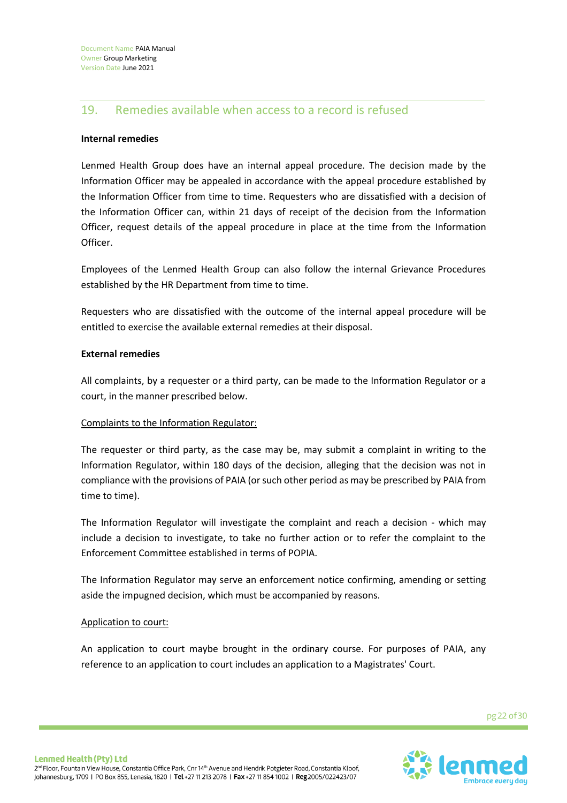## 19. Remedies available when access to a record is refused

## **Internal remedies**

Lenmed Health Group does have an internal appeal procedure. The decision made by the Information Officer may be appealed in accordance with the appeal procedure established by the Information Officer from time to time. Requesters who are dissatisfied with a decision of the Information Officer can, within 21 days of receipt of the decision from the Information Officer, request details of the appeal procedure in place at the time from the Information Officer.

Employees of the Lenmed Health Group can also follow the internal Grievance Procedures established by the HR Department from time to time.

Requesters who are dissatisfied with the outcome of the internal appeal procedure will be entitled to exercise the available external remedies at their disposal.

## **External remedies**

All complaints, by a requester or a third party, can be made to the Information Regulator or a court, in the manner prescribed below.

## Complaints to the Information Regulator:

The requester or third party, as the case may be, may submit a complaint in writing to the Information Regulator, within 180 days of the decision, alleging that the decision was not in compliance with the provisions of PAIA (or such other period as may be prescribed by PAIA from time to time).

The Information Regulator will investigate the complaint and reach a decision - which may include a decision to investigate, to take no further action or to refer the complaint to the Enforcement Committee established in terms of POPIA.

The Information Regulator may serve an enforcement notice confirming, amending or setting aside the impugned decision, which must be accompanied by reasons.

## Application to court:

An application to court maybe brought in the ordinary course. For purposes of PAIA, any reference to an application to court includes an application to a Magistrates' Court.

pg 22 of 30

![](_page_21_Picture_15.jpeg)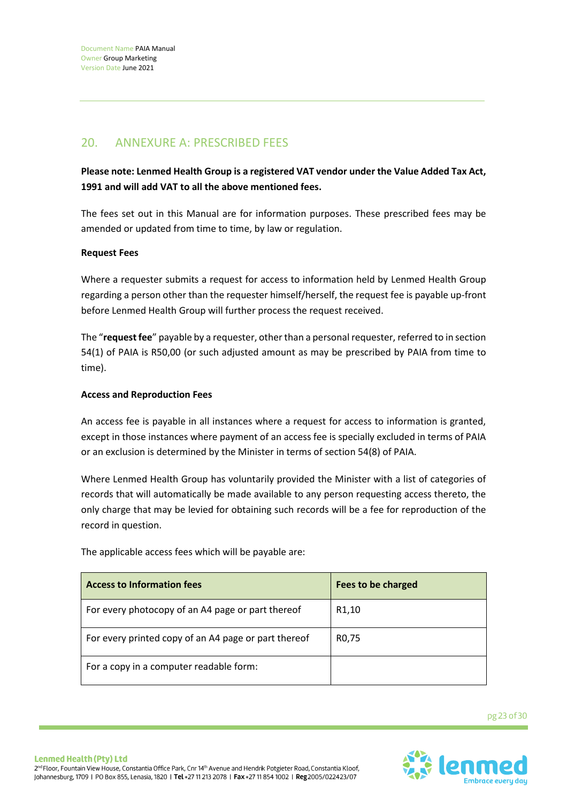# 20. ANNEXURE A: PRESCRIBED FEES

**Please note: Lenmed Health Group is a registered VAT vendor under the Value Added Tax Act, 1991 and will add VAT to all the above mentioned fees.**

The fees set out in this Manual are for information purposes. These prescribed fees may be amended or updated from time to time, by law or regulation.

## **Request Fees**

Where a requester submits a request for access to information held by Lenmed Health Group regarding a person other than the requester himself/herself, the request fee is payable up-front before Lenmed Health Group will further process the request received.

The "**request fee**" payable by a requester, other than a personal requester, referred to in section 54(1) of PAIA is R50,00 (or such adjusted amount as may be prescribed by PAIA from time to time).

## **Access and Reproduction Fees**

An access fee is payable in all instances where a request for access to information is granted, except in those instances where payment of an access fee is specially excluded in terms of PAIA or an exclusion is determined by the Minister in terms of section 54(8) of PAIA.

Where Lenmed Health Group has voluntarily provided the Minister with a list of categories of records that will automatically be made available to any person requesting access thereto, the only charge that may be levied for obtaining such records will be a fee for reproduction of the record in question.

| <b>Access to Information fees</b>                    | Fees to be charged |
|------------------------------------------------------|--------------------|
| For every photocopy of an A4 page or part thereof    | R <sub>1</sub> ,10 |
| For every printed copy of an A4 page or part thereof | R <sub>0</sub> ,75 |
| For a copy in a computer readable form:              |                    |

The applicable access fees which will be payable are:

pg 23 of 30

![](_page_22_Picture_13.jpeg)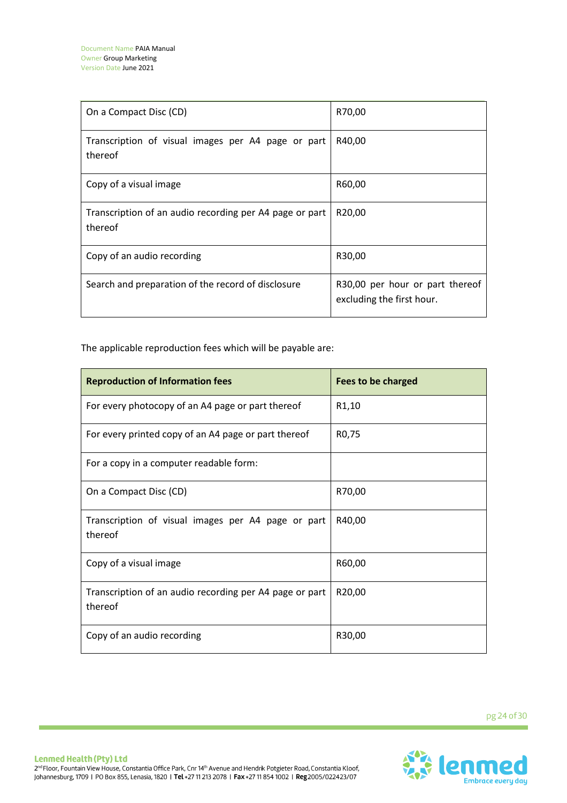| On a Compact Disc (CD)                                             | R70,00                                                       |
|--------------------------------------------------------------------|--------------------------------------------------------------|
| Transcription of visual images per A4 page or part<br>thereof      | R40,00                                                       |
| Copy of a visual image                                             | R60,00                                                       |
| Transcription of an audio recording per A4 page or part<br>thereof | R <sub>20</sub> ,00                                          |
| Copy of an audio recording                                         | R30,00                                                       |
| Search and preparation of the record of disclosure                 | R30,00 per hour or part thereof<br>excluding the first hour. |

The applicable reproduction fees which will be payable are:

| <b>Reproduction of Information fees</b>                            | <b>Fees to be charged</b> |
|--------------------------------------------------------------------|---------------------------|
| For every photocopy of an A4 page or part thereof                  | R <sub>1</sub> ,10        |
| For every printed copy of an A4 page or part thereof               | R0,75                     |
| For a copy in a computer readable form:                            |                           |
| On a Compact Disc (CD)                                             | R70,00                    |
| Transcription of visual images per A4 page or part<br>thereof      | R40,00                    |
| Copy of a visual image                                             | R60,00                    |
| Transcription of an audio recording per A4 page or part<br>thereof | R20,00                    |
| Copy of an audio recording                                         | R30,00                    |

![](_page_23_Picture_5.jpeg)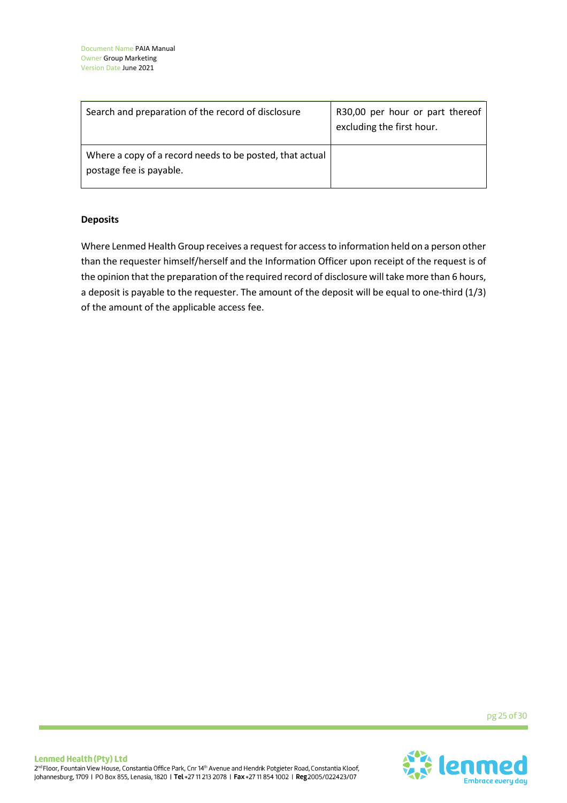| Search and preparation of the record of disclosure                                  | R30,00 per hour or part thereof<br>excluding the first hour. |
|-------------------------------------------------------------------------------------|--------------------------------------------------------------|
| Where a copy of a record needs to be posted, that actual<br>postage fee is payable. |                                                              |

## **Deposits**

Where Lenmed Health Group receives a request for access to information held on a person other than the requester himself/herself and the Information Officer upon receipt of the request is of the opinion that the preparation of the required record of disclosure will take more than 6 hours, a deposit is payable to the requester. The amount of the deposit will be equal to one-third (1/3) of the amount of the applicable access fee.

pg 25 of 30

![](_page_24_Picture_7.jpeg)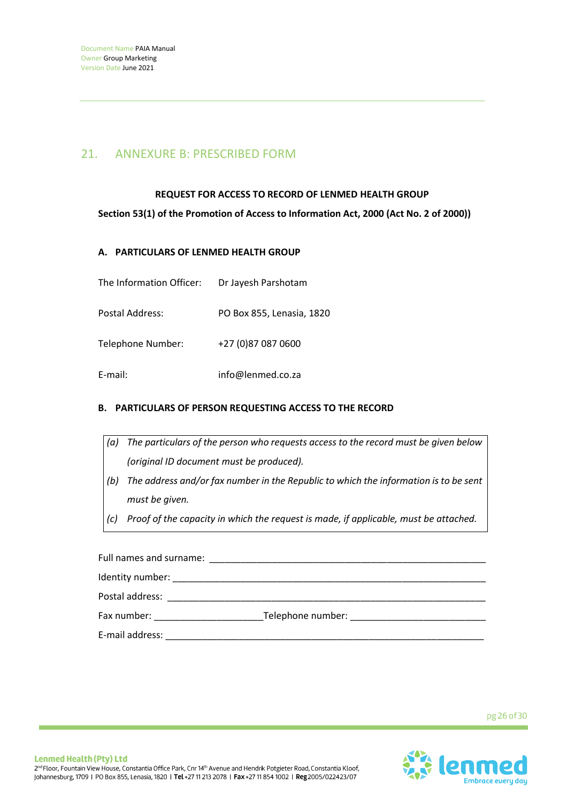## 21. ANNEXURE B: PRESCRIBED FORM

## **REQUEST FOR ACCESS TO RECORD OF LENMED HEALTH GROUP**

**Section 53(1) of the Promotion of Access to Information Act, 2000 (Act No. 2 of 2000))**

## **A. PARTICULARS OF LENMED HEALTH GROUP**

| The Information Officer: | Dr Jayesh Parshotam       |
|--------------------------|---------------------------|
| Postal Address:          | PO Box 855, Lenasia, 1820 |
| Telephone Number:        | +27 (0)87 087 0600        |
| E-mail:                  | info@lenmed.co.za         |

## **B. PARTICULARS OF PERSON REQUESTING ACCESS TO THE RECORD**

|     | Identity number:                                                                     |
|-----|--------------------------------------------------------------------------------------|
|     | Full names and surname:                                                              |
|     | Proof of the capacity in which the request is made, if applicable, must be attached. |
|     | must be given.                                                                       |
| (b) | The address and/or fax number in the Republic to which the information is to be sent |
|     | (original ID document must be produced).                                             |
| (a) | The particulars of the person who requests access to the record must be given below  |

Postal address: \_\_\_\_\_\_\_\_\_\_\_\_\_\_\_\_\_\_\_\_\_\_\_\_\_\_\_\_\_\_\_\_\_\_\_\_\_\_\_\_\_\_\_\_\_\_\_\_\_\_\_\_\_\_\_\_\_\_\_\_\_ Fax number: \_\_\_\_\_\_\_\_\_\_\_\_\_\_\_\_\_\_\_\_\_\_\_\_\_\_\_\_\_\_\_\_Telephone number: \_\_\_\_\_\_\_\_\_\_\_\_\_\_\_\_\_\_\_ E-mail address: \_\_\_\_\_\_\_\_\_\_\_\_\_\_\_\_\_\_\_\_\_\_\_\_\_\_\_\_\_\_\_\_\_\_\_\_\_\_\_\_\_\_\_\_\_\_\_\_\_\_\_\_\_\_\_\_\_\_\_\_\_

pg 26 of 30

![](_page_25_Picture_10.jpeg)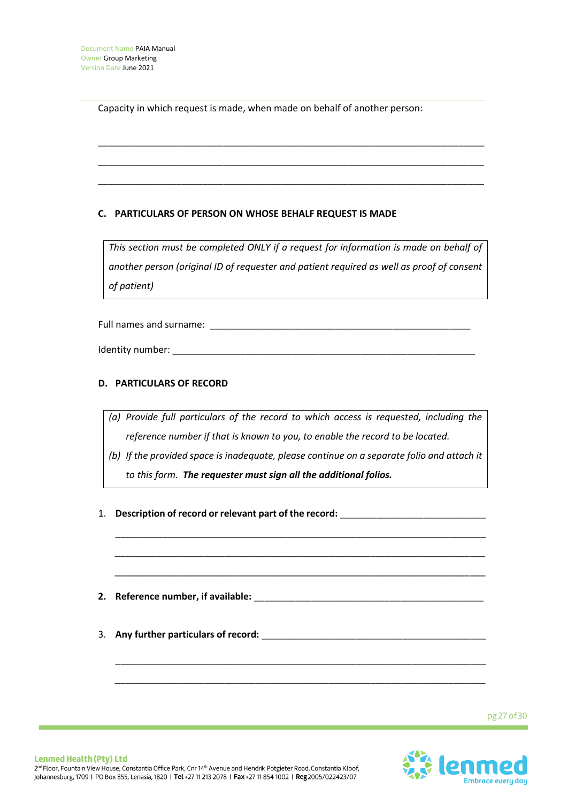Capacity in which request is made, when made on behalf of another person:

## **C. PARTICULARS OF PERSON ON WHOSE BEHALF REQUEST IS MADE**

*This section must be completed ONLY if a request for information is made on behalf of another person (original ID of requester and patient required as well as proof of consent of patient)*

\_\_\_\_\_\_\_\_\_\_\_\_\_\_\_\_\_\_\_\_\_\_\_\_\_\_\_\_\_\_\_\_\_\_\_\_\_\_\_\_\_\_\_\_\_\_\_\_\_\_\_\_\_\_\_\_\_\_\_\_\_\_\_\_\_\_\_\_\_\_\_\_\_\_

\_\_\_\_\_\_\_\_\_\_\_\_\_\_\_\_\_\_\_\_\_\_\_\_\_\_\_\_\_\_\_\_\_\_\_\_\_\_\_\_\_\_\_\_\_\_\_\_\_\_\_\_\_\_\_\_\_\_\_\_\_\_\_\_\_\_\_\_\_\_\_\_\_\_

\_\_\_\_\_\_\_\_\_\_\_\_\_\_\_\_\_\_\_\_\_\_\_\_\_\_\_\_\_\_\_\_\_\_\_\_\_\_\_\_\_\_\_\_\_\_\_\_\_\_\_\_\_\_\_\_\_\_\_\_\_\_\_\_\_\_\_\_\_\_\_\_\_\_

Full names and surname: \_\_\_\_\_\_\_\_\_\_\_\_\_\_\_\_\_\_\_\_\_\_\_\_\_\_\_\_\_\_\_\_\_\_\_\_\_\_\_\_\_\_\_\_\_\_\_\_\_\_

Identity number:

## **D. PARTICULARS OF RECORD**

- *(a) Provide full particulars of the record to which access is requested, including the reference number if that is known to you, to enable the record to be located.*
- *(b) If the provided space is inadequate, please continue on a separate folio and attach it to this form. The requester must sign all the additional folios.*

\_\_\_\_\_\_\_\_\_\_\_\_\_\_\_\_\_\_\_\_\_\_\_\_\_\_\_\_\_\_\_\_\_\_\_\_\_\_\_\_\_\_\_\_\_\_\_\_\_\_\_\_\_\_\_\_\_\_\_\_\_\_\_\_\_\_\_\_\_\_\_

\_\_\_\_\_\_\_\_\_\_\_\_\_\_\_\_\_\_\_\_\_\_\_\_\_\_\_\_\_\_\_\_\_\_\_\_\_\_\_\_\_\_\_\_\_\_\_\_\_\_\_\_\_\_\_\_\_\_\_\_\_\_\_\_\_\_\_\_\_\_\_

\_\_\_\_\_\_\_\_\_\_\_\_\_\_\_\_\_\_\_\_\_\_\_\_\_\_\_\_\_\_\_\_\_\_\_\_\_\_\_\_\_\_\_\_\_\_\_\_\_\_\_\_\_\_\_\_\_\_\_\_\_\_\_\_\_\_\_\_\_\_\_

\_\_\_\_\_\_\_\_\_\_\_\_\_\_\_\_\_\_\_\_\_\_\_\_\_\_\_\_\_\_\_\_\_\_\_\_\_\_\_\_\_\_\_\_\_\_\_\_\_\_\_\_\_\_\_\_\_\_\_\_\_\_\_\_\_\_\_\_\_\_\_

\_\_\_\_\_\_\_\_\_\_\_\_\_\_\_\_\_\_\_\_\_\_\_\_\_\_\_\_\_\_\_\_\_\_\_\_\_\_\_\_\_\_\_\_\_\_\_\_\_\_\_\_\_\_\_\_\_\_\_\_\_\_\_\_\_\_\_\_\_\_\_

- 1. **Description of record or relevant part of the record:** \_\_\_\_\_\_\_\_\_\_\_\_\_\_\_\_\_\_\_\_\_\_\_\_\_\_\_\_
- **2. Reference number, if available:** \_\_\_\_\_\_\_\_\_\_\_\_\_\_\_\_\_\_\_\_\_\_\_\_\_\_\_\_\_\_\_\_\_\_\_\_\_\_\_\_\_\_\_\_
- 3. **Any further particulars of record:** \_\_\_\_\_\_\_\_\_\_\_\_\_\_\_\_\_\_\_\_\_\_\_\_\_\_\_\_\_\_\_\_\_\_\_\_\_\_\_\_\_\_\_

pg 27 of 30

![](_page_26_Picture_13.jpeg)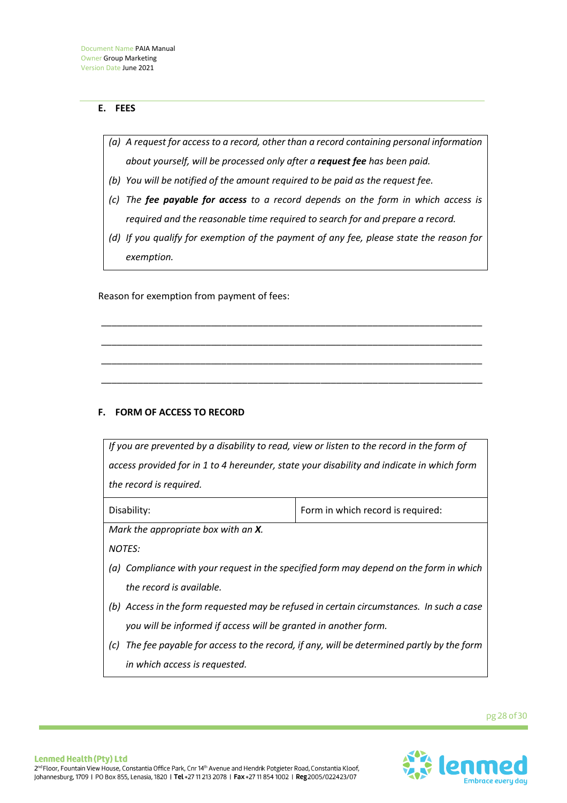## **E. FEES**

- *(a) A request for access to a record, other than a record containing personal information about yourself, will be processed only after a request fee has been paid.*
- *(b) You will be notified of the amount required to be paid as the request fee.*
- *(c) The fee payable for access to a record depends on the form in which access is required and the reasonable time required to search for and prepare a record.*
- *(d) If you qualify for exemption of the payment of any fee, please state the reason for exemption.*

\_\_\_\_\_\_\_\_\_\_\_\_\_\_\_\_\_\_\_\_\_\_\_\_\_\_\_\_\_\_\_\_\_\_\_\_\_\_\_\_\_\_\_\_\_\_\_\_\_\_\_\_\_\_\_\_\_\_\_\_\_\_\_\_\_\_\_\_\_\_\_\_\_

\_\_\_\_\_\_\_\_\_\_\_\_\_\_\_\_\_\_\_\_\_\_\_\_\_\_\_\_\_\_\_\_\_\_\_\_\_\_\_\_\_\_\_\_\_\_\_\_\_\_\_\_\_\_\_\_\_\_\_\_\_\_\_\_\_\_\_\_\_\_\_\_\_

\_\_\_\_\_\_\_\_\_\_\_\_\_\_\_\_\_\_\_\_\_\_\_\_\_\_\_\_\_\_\_\_\_\_\_\_\_\_\_\_\_\_\_\_\_\_\_\_\_\_\_\_\_\_\_\_\_\_\_\_\_\_\_\_\_\_\_\_\_\_\_\_\_

\_\_\_\_\_\_\_\_\_\_\_\_\_\_\_\_\_\_\_\_\_\_\_\_\_\_\_\_\_\_\_\_\_\_\_\_\_\_\_\_\_\_\_\_\_\_\_\_\_\_\_\_\_\_\_\_\_\_\_\_\_\_\_\_\_\_\_\_\_\_\_\_\_

Reason for exemption from payment of fees:

## **F. FORM OF ACCESS TO RECORD**

*If you are prevented by a disability to read, view or listen to the record in the form of access provided for in 1 to 4 hereunder, state your disability and indicate in which form the record is required.* Disability:  $\vert$  Form in which record is required:

*Mark the appropriate box with an X.*

*NOTES:*

- *(a) Compliance with your request in the specified form may depend on the form in which the record is available.*
- *(b) Access in the form requested may be refused in certain circumstances. In such a case you will be informed if access will be granted in another form.*
- *(c) The fee payable for access to the record, if any, will be determined partly by the form in which access is requested.*

pg 28 of 30

![](_page_27_Picture_15.jpeg)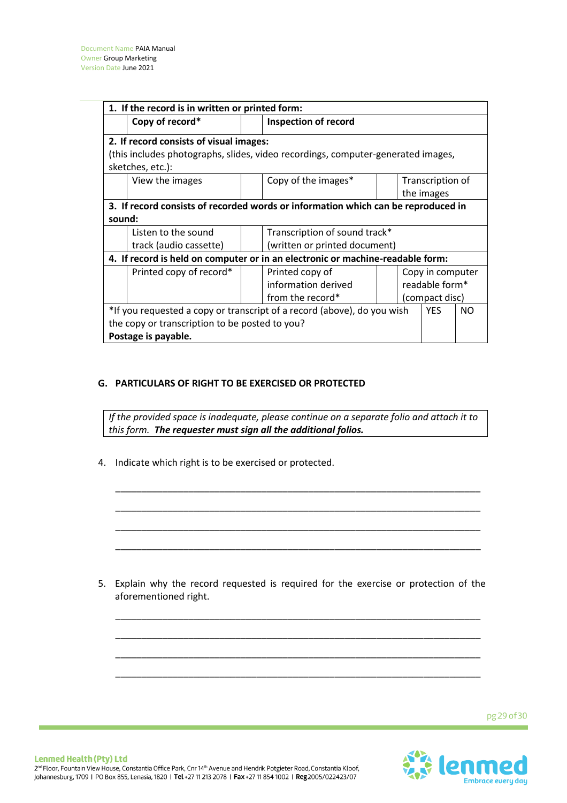| 1. If the record is in written or printed form:                                                    |  |                               |  |                |                  |  |
|----------------------------------------------------------------------------------------------------|--|-------------------------------|--|----------------|------------------|--|
| Copy of record*                                                                                    |  | <b>Inspection of record</b>   |  |                |                  |  |
| 2. If record consists of visual images:                                                            |  |                               |  |                |                  |  |
| (this includes photographs, slides, video recordings, computer-generated images,                   |  |                               |  |                |                  |  |
| sketches, etc.):                                                                                   |  |                               |  |                |                  |  |
| View the images                                                                                    |  | Copy of the images*           |  |                | Transcription of |  |
|                                                                                                    |  |                               |  |                | the images       |  |
| 3. If record consists of recorded words or information which can be reproduced in                  |  |                               |  |                |                  |  |
| sound:                                                                                             |  |                               |  |                |                  |  |
| Listen to the sound                                                                                |  | Transcription of sound track* |  |                |                  |  |
| track (audio cassette)                                                                             |  | (written or printed document) |  |                |                  |  |
| 4. If record is held on computer or in an electronic or machine-readable form:                     |  |                               |  |                |                  |  |
| Printed copy of record*                                                                            |  | Printed copy of               |  |                | Copy in computer |  |
|                                                                                                    |  | information derived           |  | readable form* |                  |  |
|                                                                                                    |  | from the record*              |  | (compact disc) |                  |  |
| *If you requested a copy or transcript of a record (above), do you wish<br><b>YES</b><br><b>NO</b> |  |                               |  |                |                  |  |
| the copy or transcription to be posted to you?                                                     |  |                               |  |                |                  |  |
| Postage is payable.                                                                                |  |                               |  |                |                  |  |

## **G. PARTICULARS OF RIGHT TO BE EXERCISED OR PROTECTED**

*If the provided space is inadequate, please continue on a separate folio and attach it to this form. The requester must sign all the additional folios.*

\_\_\_\_\_\_\_\_\_\_\_\_\_\_\_\_\_\_\_\_\_\_\_\_\_\_\_\_\_\_\_\_\_\_\_\_\_\_\_\_\_\_\_\_\_\_\_\_\_\_\_\_\_\_\_\_\_\_\_\_\_\_\_\_\_\_\_\_\_\_

\_\_\_\_\_\_\_\_\_\_\_\_\_\_\_\_\_\_\_\_\_\_\_\_\_\_\_\_\_\_\_\_\_\_\_\_\_\_\_\_\_\_\_\_\_\_\_\_\_\_\_\_\_\_\_\_\_\_\_\_\_\_\_\_\_\_\_\_\_\_

\_\_\_\_\_\_\_\_\_\_\_\_\_\_\_\_\_\_\_\_\_\_\_\_\_\_\_\_\_\_\_\_\_\_\_\_\_\_\_\_\_\_\_\_\_\_\_\_\_\_\_\_\_\_\_\_\_\_\_\_\_\_\_\_\_\_\_\_\_\_

\_\_\_\_\_\_\_\_\_\_\_\_\_\_\_\_\_\_\_\_\_\_\_\_\_\_\_\_\_\_\_\_\_\_\_\_\_\_\_\_\_\_\_\_\_\_\_\_\_\_\_\_\_\_\_\_\_\_\_\_\_\_\_\_\_\_\_\_\_\_

4. Indicate which right is to be exercised or protected.

5. Explain why the record requested is required for the exercise or protection of the aforementioned right.

\_\_\_\_\_\_\_\_\_\_\_\_\_\_\_\_\_\_\_\_\_\_\_\_\_\_\_\_\_\_\_\_\_\_\_\_\_\_\_\_\_\_\_\_\_\_\_\_\_\_\_\_\_\_\_\_\_\_\_\_\_\_\_\_\_\_\_\_\_\_

\_\_\_\_\_\_\_\_\_\_\_\_\_\_\_\_\_\_\_\_\_\_\_\_\_\_\_\_\_\_\_\_\_\_\_\_\_\_\_\_\_\_\_\_\_\_\_\_\_\_\_\_\_\_\_\_\_\_\_\_\_\_\_\_\_\_\_\_\_\_

\_\_\_\_\_\_\_\_\_\_\_\_\_\_\_\_\_\_\_\_\_\_\_\_\_\_\_\_\_\_\_\_\_\_\_\_\_\_\_\_\_\_\_\_\_\_\_\_\_\_\_\_\_\_\_\_\_\_\_\_\_\_\_\_\_\_\_\_\_\_

\_\_\_\_\_\_\_\_\_\_\_\_\_\_\_\_\_\_\_\_\_\_\_\_\_\_\_\_\_\_\_\_\_\_\_\_\_\_\_\_\_\_\_\_\_\_\_\_\_\_\_\_\_\_\_\_\_\_\_\_\_\_\_\_\_\_\_\_\_\_

pg 29 of 30

![](_page_28_Picture_7.jpeg)